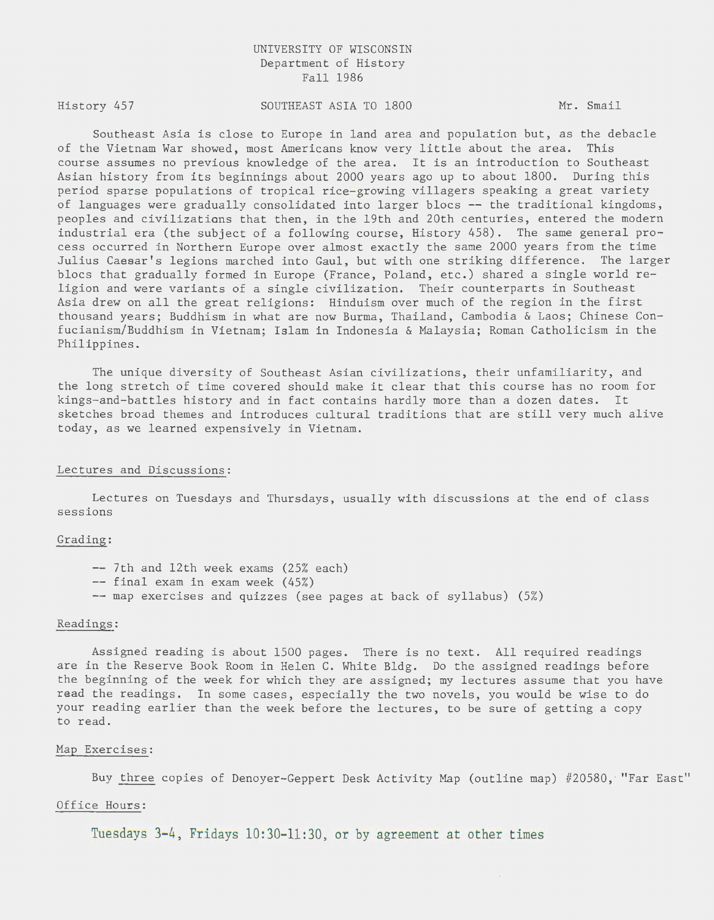# UNIVERSITY OF WISCONSIN Department of History Fall 1986

History 457

SOUTHEAST ASIA TO 1800 Mr. Smail

Southeast Asia is close to Europe in land area and population but, as the debacle of the Vietnam War showed, most Americans know very little about the area. This course assumes no previous knowledge of the area. It is an introduction to Southeast Asian history from its beginnings about 2000 years ago up to about 1800. During this period sparse populations of tropical rice-growing villagers speaking a great variety of languages were gradually consolidated into larger blocs -- the traditional kingdoms, peoples and civilizations that then, in the 19th and 20th centuries, entered the modern industrial era (the subject of a following course, History 458). The same general process occurred in Northern Europe over almost exactly the same 2000 years from the time Julius Caesar's legions marched into Gaul, but with one striking difference. The larger blocs that gradually formed in Europe (France, Poland, etc.) shared a single world religion and were variants of a single civilization. Their counterparts in Southeast Asia drew on all the great religions: Hinduism over much of the region in the first thousand years; Buddhism in what are now Burma, Thailand, Cambodia & Laos; Chinese Confucianism/Buddhism in Vietnam; Islam in Indonesia & Malaysia; Roman Catholicism in the Philippines.

The unique diversity of Southeast Asian civilizations, their unfamiliarity, and the long stretch of time covered should make it clear that this course has no room for kings-and-battles history and in fact contains hardly more than a dozen dates. It sketches broad themes and introduces cultural traditions that are still very much alive today, as we learned expensively in Vietnam.

## Lectures and Discussions:

Lectures on Tuesdays and Thursdays, usually with discussions at the end of class sessions

#### Grading:

-- 7th and 12th week exams (25% each) -- final exam in exam week (45%) -- map exercises and quizzes (see pages at back of syllabus) (5%)

## Readings:

Assigned reading is about 1500 pages. There is no text. All required readings are in the Reserve Book Room in Helen C. White Bldg. Do the assigned readings before the beginning of the week for which they are assigned; my lectures assume that you have read the readings. In some cases, especially the two novels, you would be wise to do your reading earlier than the week before the lectures, to be sure of getting a copy to read.

## Map Exercises:

Buy three copies of Denoyer-Geppert Desk Activity Map (outline map) #20580, " Far East"

 $\bar{\tau}$ 

## Office Hours:

Tuesdays 3-4, Fridays 10:30-11:30, or by agreement at other times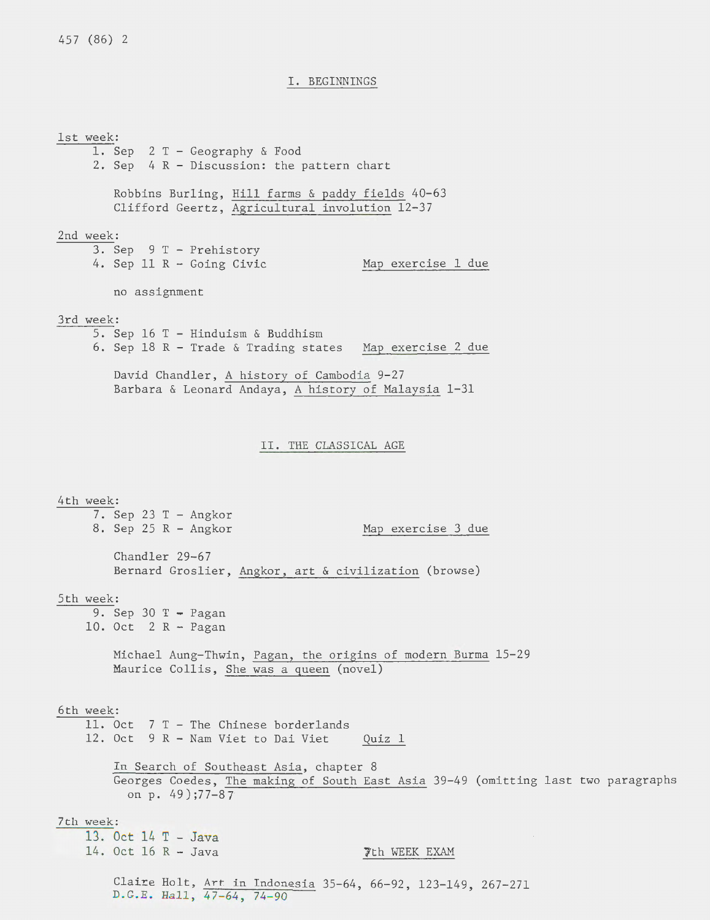## I. BEGINNINGS

1st week: 1. Sep 2 T - Geography & Food 2. Sep 4 R - Discussion: the pattern chart Robbins Burling, Hill farms & paddy fields 40-63 Clifford Geertz, Agricultural involution 12-37 2nd week: 3. Sep 9 T - Prehistory 4. Sep 11 R - Going Civic Map exercise 1 due no assignment 3rd week: 5. Sep 16 T - Hinduism & Buddhism 6. Sep 18 R - Trade & Trading states Map exercise 2 due David Chandler, A history of Cambodia 9-27 Barbara & Leonard Andaya, A history of Malaysia 1-31 II. THE CLASSICAL AGE 4th week: 7. Sep 23 T- Angkor 8. Sep 25 R - Angkor Map exercise 3 due Chandler 29-67 Bernard Groslier, Angkor, art & civilization (browse) 5th week: 9. Sep 30  $T -$  Pagan 10. Oct 2 R - Pagan Michael Aung-Thwin, Pagan, the origins of modern Burma 15-29 Maurice Collis, She was a queen (novel) 6th week: 11. Oct 7 T - The Chinese borderlands 12. Oct 9 R - Nam Viet to Dai Viet Quiz 1 In Search of Southeast Asia, chapter 8 Georges Coedes, The making of South East Asia 39-49 (omitting last two paragraphs on p. 49);77-87 7th week: 13. Oct 14 T - Java 14. Oct 16 R - Java  $\overline{z}$ th WEEK EXAM Claire Holt, Art in Indonesia 35-64, 66-92, 123-149, 267-271 D. G.E. Hall, 47-64, 74-90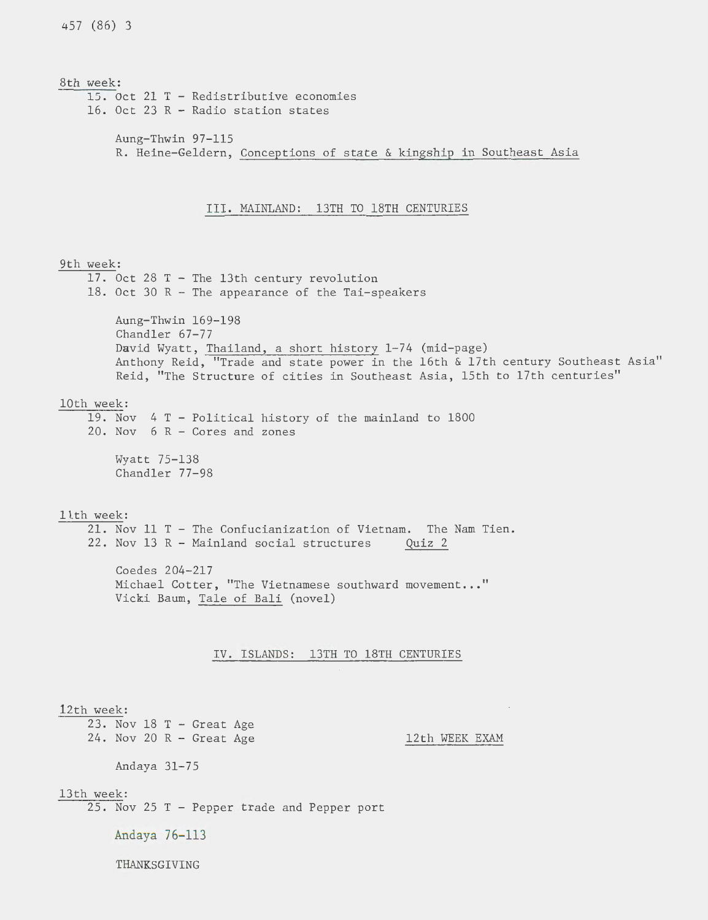8th week: 15. Oct 21 T - Redistributive economies 16. Oct 23 R - Radio station states Aung-Thwin 97-115 R. Heine-Geldern, Conceptions of state & kingship in Southeast Asia III. MAINLAND: 13TH TO 18TH CENTURIES 9th week: 17. Oct 28 T- The 13th century revolution 18. Oct 30 R - The appearance of the Tai-speakers Aung-Thwin 169-198 Chandler 67-77 David Wyatt, Thailand, a short history 1-74 (mid-page) Anthony Reid, "Trade and state power in the 16th & 17th century Southeast Asia" Reid, "The Structure of cities in Southeast Asia, 15th to 17th centuries" lOth week: 19. Nov 4 T - Political history of the mainland to 1800 20. Nov 6 R - Cores and zones Wyatt 75-138 Chandler 77-98 ltth week: 21. Nov 11 T - The Confucianization of Vietnam. The Nam Tien. 22. Nov 13 R - Mainland social structures Quiz 2 Coedes 204-217 Michael Cotter, "The Vietnamese southward movement..." Vicki Baum, Tale of Bali (novel) IV. ISLANDS: 13TH TO 18TH CENTURIES 12th week: 23. Nov 18 T - Great Age 24. Nov 20 R - Great Age 12th WEEK EXAM Andaya 31-75 13th week: 25. Nov 25 T - Pepper trade and Pepper port Andaya 76-113 THANKSGIVING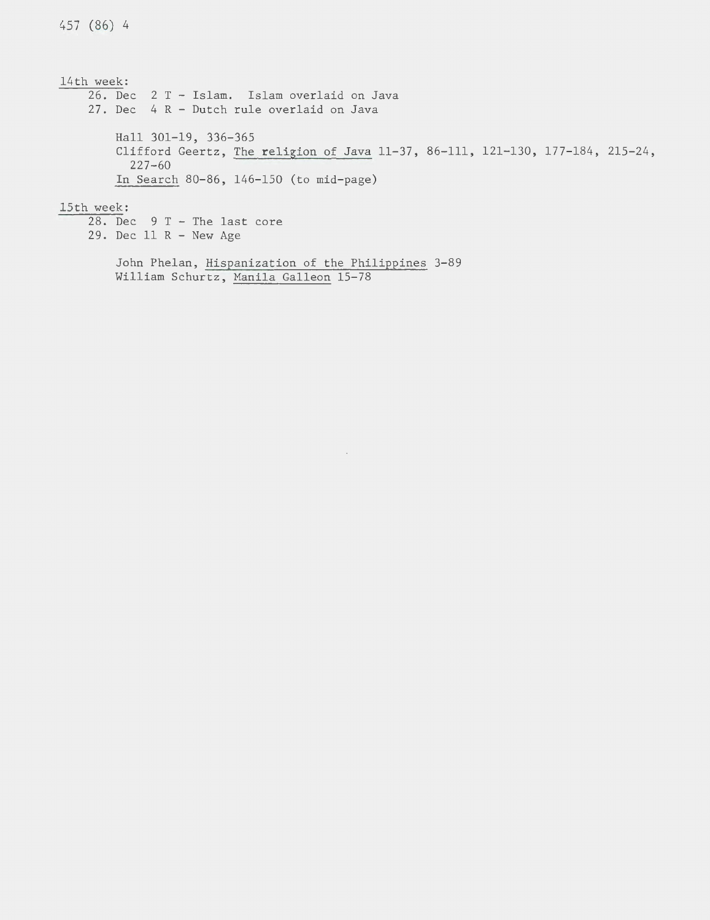14th week: 26. Dec 2 T - Islam. Islam overlaid on Java 27. Dec 4 R - Dutch rule overlaid on Java Hall 301-19, 336-365 Clifford Geertz, The religion of Java 11-37, 86-111, 121-130, 177-184, 215-24, 227-60 In Search 80-86, 146-150 (to mid-page) 15th week: 28. Dec 9 T - The last core 29. Dec 11 R - New Age

 $\bar{\mathcal{A}}$ 

John Phelan, Hispanization of the Philippines 3-89 William Schurtz, Manila Galleon 15-78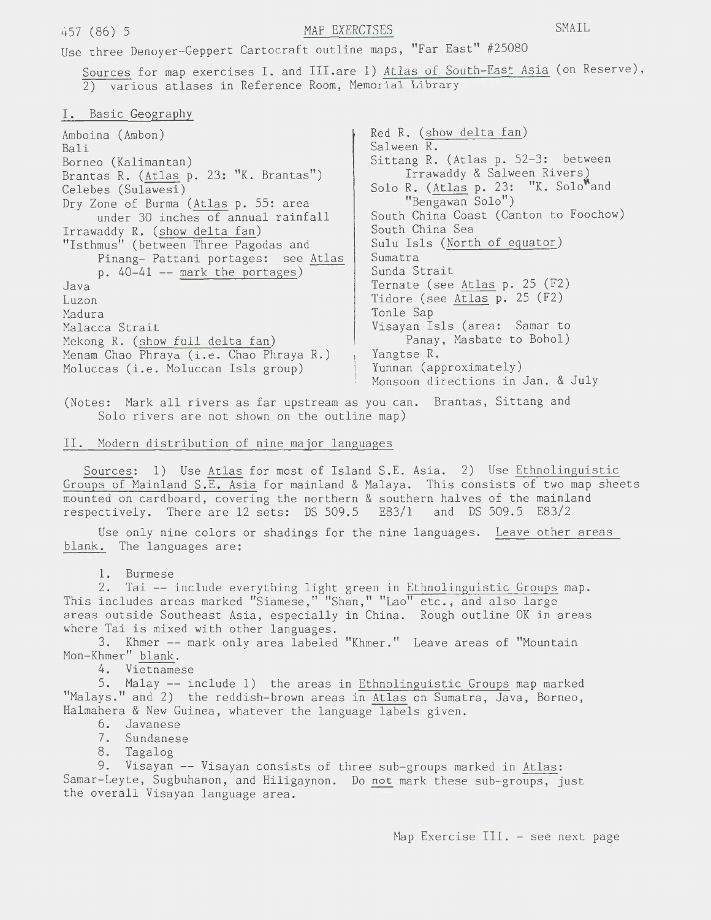Use three Denoyer-Geppert Cartocraft outline maps, "Far East" #25080

Sources for map exercises I. and III.are 1) Atlas of South-East Asia (on Reserve), 2) various atlases in Reference Room, Memorial Library

I. Basic Geography

| Amboina (Ambon)<br>Bali<br>Borneo (Kalimantan)<br>Brantas R. (Atlas p. 23: "K. Brantas") | Red R. (show delta fan)<br>Salween R.<br>Sittang R. (Atlas p. 52-3: between<br>Irrawaddy & Salween Rivers) |
|------------------------------------------------------------------------------------------|------------------------------------------------------------------------------------------------------------|
| Celebes (Sulawesi)                                                                       | Solo R. (Atlas p. 23: "K. Solo"and                                                                         |
| Dry Zone of Burma (Atlas p. 55: area<br>under 30 inches of annual rainfall               | "Bengawan Solo")<br>South China Coast (Canton to Foochow)                                                  |
| Irrawaddy R. (show delta fan)                                                            | South China Sea                                                                                            |
| "Isthmus" (between Three Pagodas and                                                     | Sulu Isls (North of equator)                                                                               |
| Pinang- Pattani portages: see Atlas                                                      | Sumatra                                                                                                    |
| $p. 40-41$ -- mark the portages)                                                         | Sunda Strait                                                                                               |
| Java                                                                                     | Ternate (see Atlas p. 25 (F2)                                                                              |
| Luzon                                                                                    | Tidore (see Atlas p. 25 (F2)                                                                               |
| Madura                                                                                   | Tonle Sap                                                                                                  |
| Malacca Strait                                                                           | Visayan Isls (area: Samar to                                                                               |
| Mekong R. (show full delta fan)                                                          | Panay, Masbate to Bohol)                                                                                   |
| Menam Chao Phraya (i.e. Chao Phraya R.)                                                  | Yangtse R.                                                                                                 |
| Moluccas (i.e. Moluccan Isls group)                                                      | Yunnan (approximately)                                                                                     |
|                                                                                          | Monsoon directions in Jan. & July                                                                          |

(Notes: Mark all rivers as far upstream as you can. Brantas, Sittang and Solo rivers are not shown on the outline map)

II. Modern distribution of nine major languages

Sources: 1) Use Atlas for most of Island S.E. Asia. 2) Use Ethnolinguistic Groups of Mainland S.E. Asia for mainland & Malaya. This consists of two map sheets mounted on cardboard, covering the northern & southern halves of the mainland respectively. There are 12 sets: DS 509.5 E83/1 and DS 509.5 E83/2

Use only nine colors or shadings for the nine languages. Leave other areas blank. The languages are:

1. Burmese

2. Tai -- include everything light green in Ethnolinguistic Groups map. This includes areas marked "Siamese," "Shan," "Lao" etc., and also large areas outside Southeast Asia, especially in China. Rough outline OK in areas where Tai is mixed with other languages.

3. Khmer-- mark only area labeled "Khmer." Leave areas of "Mountain Mon-Khmer" blank.

4. Vietnamese

5. Malay -- include 1) the areas in Ethnolinguistic Groups map marked "Malays." and 2) the reddish-brown areas in Atlas on Sumatra, Java, Borneo, Halmahera & New Guinea, whatever the language labels given.

- 6. Javanese
- 7. Sundanese
- 8. Tagalog

9. Visayan -- Visayan consists of three sub-groups marked in Atlas: Samar-Leyte, Sugbuhanon, and Hiligaynon. Do not mark these sub-groups, just the overall Visayan language area.

Map Exercise III. - see next page